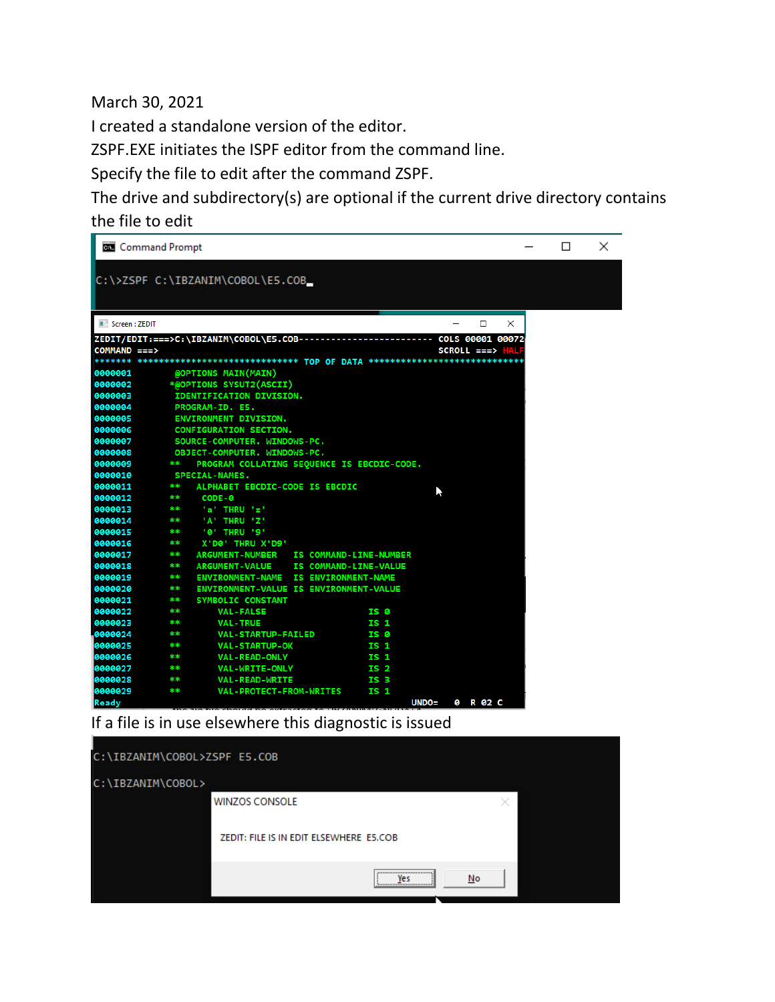March 30, 2021

I created a standalone version of the editor.

ZSPF.EXE initiates the ISPF editor from the command line.

Specify the file to edit after the command ZSPF.

The drive and subdirectory(s) are optional if the current drive directory contains the file to edit

| <b>Command Prompt</b>                                                                                              |   | П | $\times$ |
|--------------------------------------------------------------------------------------------------------------------|---|---|----------|
| C:\>ZSPF C:\IBZANIM\COBOL\E5.COB_                                                                                  |   |   |          |
|                                                                                                                    |   |   |          |
|                                                                                                                    |   |   |          |
| Screen: ZEDIT<br>□                                                                                                 | X |   |          |
| ZEDIT/EDIT:===>C:\IBZANIM\COBOL\E5.COB------<br>COLS 00001 00072                                                   |   |   |          |
| $COMMAND = = = >$<br>SCROLL ===> HAI                                                                               |   |   |          |
| ******* **************************** TOP OF DATA *****************************                                     |   |   |          |
| @OPTIONS MAIN(MAIN)<br>0000001<br>0000002                                                                          |   |   |          |
| *@OPTIONS SYSUT2(ASCII)<br>0000003<br><b>IDENTIFICATION DIVISION.</b>                                              |   |   |          |
| 0000004<br>PROGRAM-ID. E5.                                                                                         |   |   |          |
| 0000005<br>ENVIRONMENT DIVISION.                                                                                   |   |   |          |
| 0000006<br><b>CONFIGURATION SECTION.</b>                                                                           |   |   |          |
| 0000007<br>SOURCE-COMPUTER. WINDOWS-PC.                                                                            |   |   |          |
| 0000008<br>OBJECT-COMPUTER. WINDOWS-PC.                                                                            |   |   |          |
| 0000009<br>**<br>PROGRAM COLLATING SEQUENCE IS EBCDIC-CODE.                                                        |   |   |          |
| 0000010<br><b>SPECIAL-NAMES.</b>                                                                                   |   |   |          |
| 0000011<br>**<br>ALPHABET EBCDIC-CODE IS EBCDIC<br>ĸ                                                               |   |   |          |
| 0000012<br>CODE-0<br>**                                                                                            |   |   |          |
| 0000013<br>'a' THRU 'z'<br>**                                                                                      |   |   |          |
| 0000014<br>'A' THRU 'Z'<br>**                                                                                      |   |   |          |
| 0000015<br>'0' THRU '9'<br>**                                                                                      |   |   |          |
| 0000016<br>**<br>X'D0' THRU X'D9'                                                                                  |   |   |          |
| 0000017<br>**<br><b>ARGUMENT-NUMBER</b><br>IS COMMAND-LINE-NUMBER<br>**                                            |   |   |          |
| 0000018<br>IS COMMAND-LINE-VALUE<br><b>ARGUMENT-VALUE</b><br>0000019<br>**<br>ENVIRONMENT-NAME IS ENVIRONMENT-NAME |   |   |          |
| 0000020<br>**<br>ENVIRONMENT-VALUE IS ENVIRONMENT-VALUE                                                            |   |   |          |
| 0000021<br>**<br><b>SYMBOLIC CONSTANT</b>                                                                          |   |   |          |
| 0000022<br><b>VAL-FALSE</b><br>IS 0<br>**                                                                          |   |   |          |
| 0000023<br>$***$<br><b>VAL-TRUE</b><br>IS <sub>1</sub>                                                             |   |   |          |
| 0000024<br>**<br><b>VAL-STARTUP-FAILED</b><br>IS 0                                                                 |   |   |          |
| 0000025<br><b>VAL-STARTUP-OK</b><br>**<br>IS <sub>1</sub>                                                          |   |   |          |
| 0000026<br><b>VAL-READ-ONLY</b><br><b>IS 1</b><br>**                                                               |   |   |          |
| 0000027<br>**<br>VAL-WRITE-ONLY<br>IS <sub>2</sub>                                                                 |   |   |          |
| 0000028<br>**<br><b>VAL-READ-WRITE</b><br>IS 3                                                                     |   |   |          |
| 0000029<br><b>VAL-PROTECT-FROM-WRITES</b><br>IS <sub>1</sub><br>**                                                 |   |   |          |
| $UNDO =$<br>0 R 02 C<br>Ready<br>$\frac{1}{2}$ the chould be ovtracted to $\frac{1}{2}$ and $\frac{1}{2}$          |   |   |          |

### If a file is in use elsewhere this diagnostic is issued

| C:\IBZANIM\COBOL>ZSPF E5.COB            |                     |    |  |
|-----------------------------------------|---------------------|----|--|
| C:\IBZANIM\COBOL>                       |                     |    |  |
| <b>WINZOS CONSOLE</b>                   |                     |    |  |
| ZEDIT: FILE IS IN EDIT ELSEWHERE E5.COB |                     |    |  |
|                                         | <br>Yes<br><u>\</u> | No |  |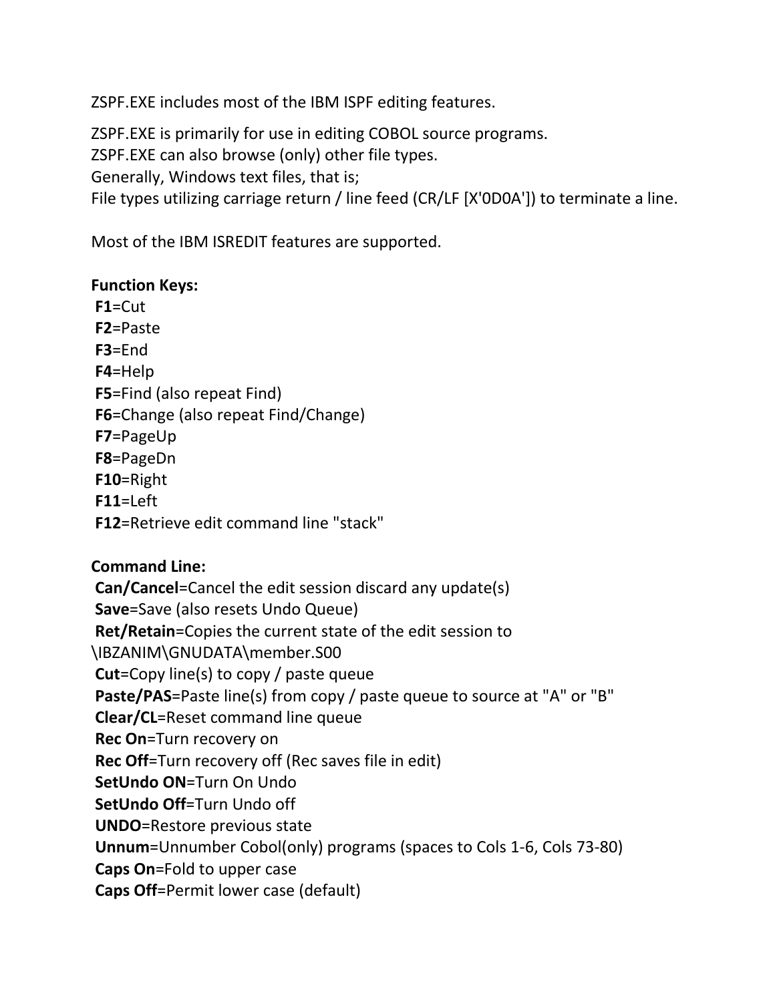ZSPF.EXE includes most of the IBM ISPF editing features.

ZSPF.EXE is primarily for use in editing COBOL source programs. ZSPF.EXE can also browse (only) other file types. Generally, Windows text files, that is; File types utilizing carriage return / line feed (CR/LF [X'0D0A']) to terminate a line.

Most of the IBM ISREDIT features are supported.

### **Function Keys:**

**F1**=Cut **F2**=Paste **F3**=End **F4**=Help **F5**=Find (also repeat Find) **F6**=Change (also repeat Find/Change) **F7**=PageUp **F8**=PageDn **F10**=Right  $F11=$  $F1$ **F12**=Retrieve edit command line "stack"

## **Command Line:**

**Can/Cancel**=Cancel the edit session discard any update(s) **Save**=Save (also resets Undo Queue) **Ret/Retain**=Copies the current state of the edit session to \IBZANIM\GNUDATA\member.S00 **Cut**=Copy line(s) to copy / paste queue **Paste/PAS**=Paste line(s) from copy / paste queue to source at "A" or "B" **Clear/CL**=Reset command line queue **Rec On**=Turn recovery on **Rec Off**=Turn recovery off (Rec saves file in edit) **SetUndo ON**=Turn On Undo **SetUndo Off**=Turn Undo off **UNDO**=Restore previous state **Unnum**=Unnumber Cobol(only) programs (spaces to Cols 1-6, Cols 73-80) **Caps On**=Fold to upper case

**Caps Off**=Permit lower case (default)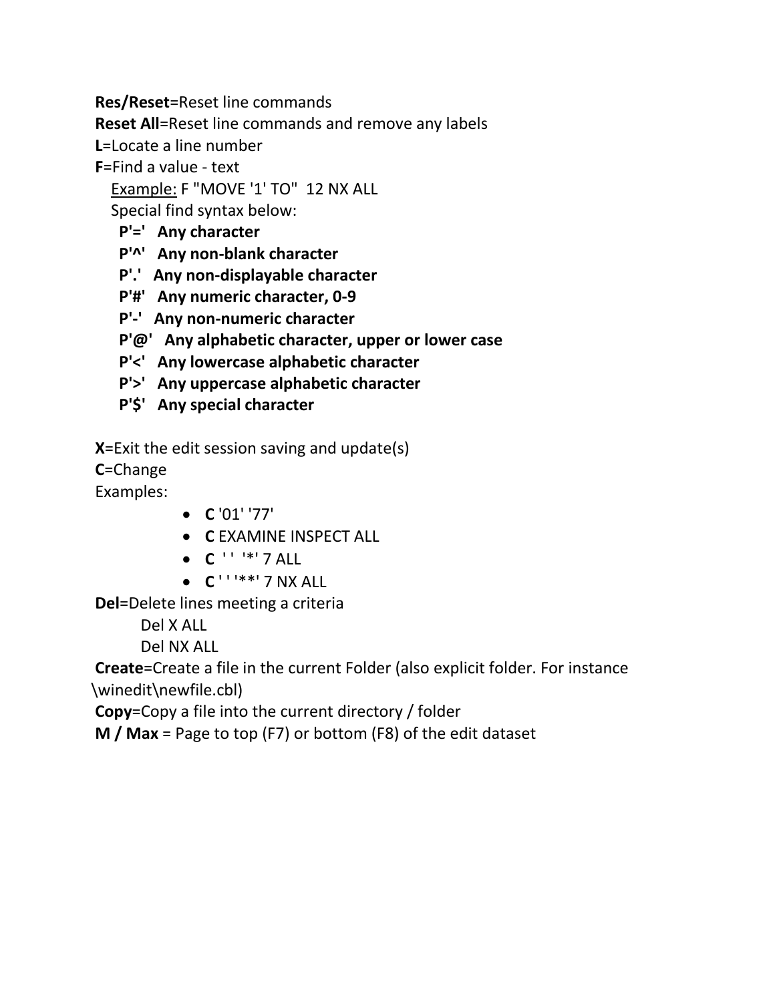**Res/Reset**=Reset line commands

**Reset All**=Reset line commands and remove any labels

**L**=Locate a line number

**F**=Find a value - text

Example: F "MOVE '1' TO" 12 NX ALL

Special find syntax below:

# **P'=' Any character**

- **P'^' Any non-blank character**
- **P'.' Any non-displayable character**
- **P'#' Any numeric character, 0-9**
- **P'-' Any non-numeric character**
- **P'@' Any alphabetic character, upper or lower case**
- **P'<' Any lowercase alphabetic character**
- **P'>' Any uppercase alphabetic character**
- **P'\$' Any special character**

**X**=Exit the edit session saving and update(s)

**C**=Change

Examples:

- **C** '01' '77'
- **C** EXAMINE INSPECT ALL
- $C'$  ' ' '\*' 7 ALL
- **C** ' ' '\*\*' 7 NX ALL

**Del**=Delete lines meeting a criteria

Del X ALL

Del NX ALL

**Create**=Create a file in the current Folder (also explicit folder. For instance \winedit\newfile.cbl)

**Copy**=Copy a file into the current directory / folder

**M / Max** = Page to top (F7) or bottom (F8) of the edit dataset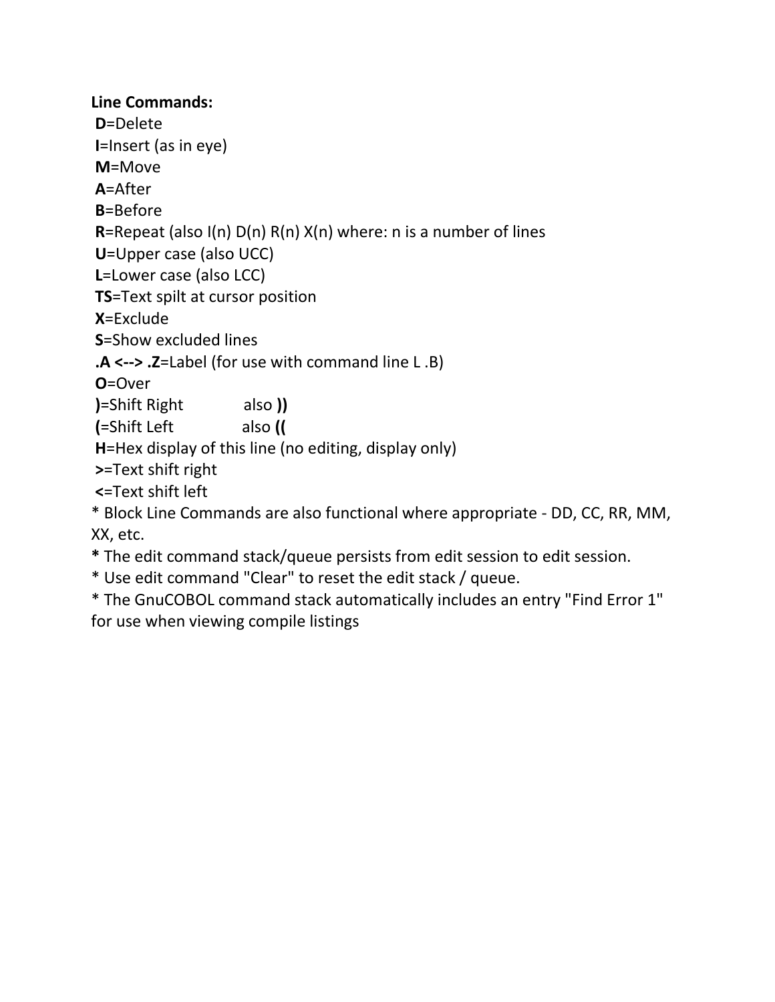### **Line Commands:**

**D**=Delete **I**=Insert (as in eye) **M**=Move **A**=After **B**=Before **R**=Repeat (also I(n) D(n) R(n) X(n) where: n is a number of lines **U**=Upper case (also UCC) **L**=Lower case (also LCC) **TS**=Text spilt at cursor position **X**=Exclude **S**=Show excluded lines **.A <--> .Z**=Label (for use with command line L .B) **O**=Over **)**=Shift Right also **)) (**=Shift Left also **(( H**=Hex display of this line (no editing, display only) **>**=Text shift right **<**=Text shift left \* Block Line Commands are also functional where appropriate - DD, CC, RR, MM, XX, etc. **\*** The edit command stack/queue persists from edit session to edit session.

\* Use edit command "Clear" to reset the edit stack / queue.

\* The GnuCOBOL command stack automatically includes an entry "Find Error 1" for use when viewing compile listings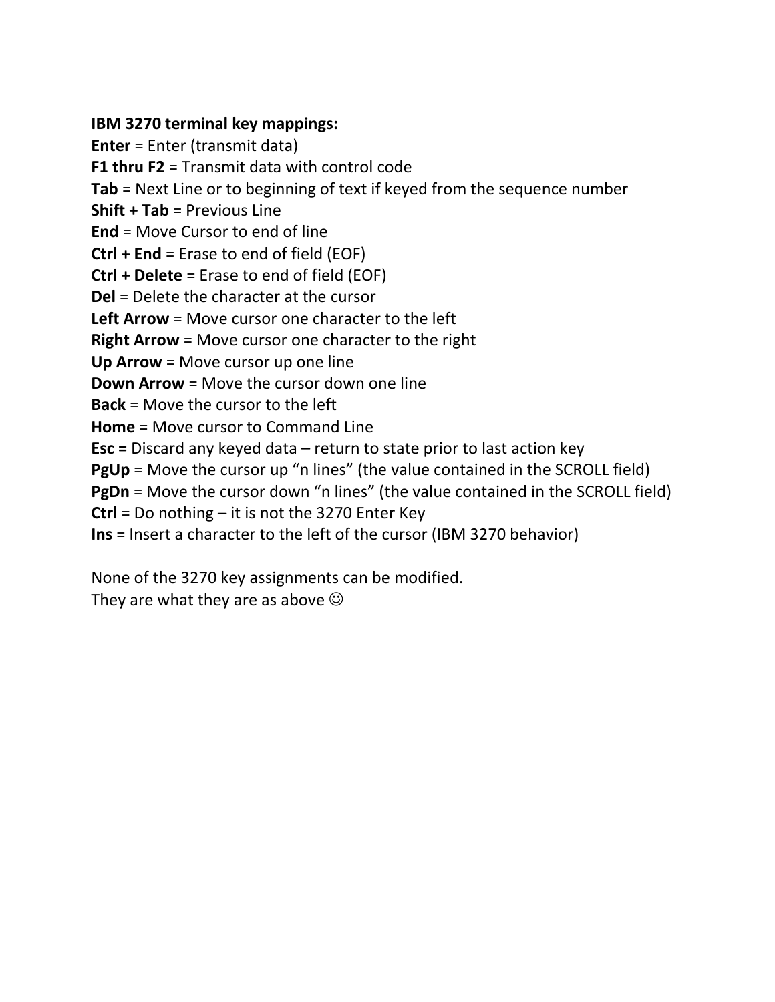#### **IBM 3270 terminal key mappings:**

**Enter** = Enter (transmit data) **F1 thru F2** = Transmit data with control code **Tab** = Next Line or to beginning of text if keyed from the sequence number **Shift + Tab** = Previous Line **End** = Move Cursor to end of line **Ctrl + End** = Erase to end of field (EOF) **Ctrl + Delete** = Erase to end of field (EOF) **Del** = Delete the character at the cursor **Left Arrow** = Move cursor one character to the left **Right Arrow** = Move cursor one character to the right **Up Arrow** = Move cursor up one line **Down Arrow** = Move the cursor down one line **Back** = Move the cursor to the left **Home** = Move cursor to Command Line **Esc =** Discard any keyed data – return to state prior to last action key **PgUp** = Move the cursor up "n lines" (the value contained in the SCROLL field) **PgDn** = Move the cursor down "n lines" (the value contained in the SCROLL field) **Ctrl** = Do nothing – it is not the 3270 Enter Key **Ins** = Insert a character to the left of the cursor (IBM 3270 behavior)

None of the 3270 key assignments can be modified. They are what they are as above  $\odot$